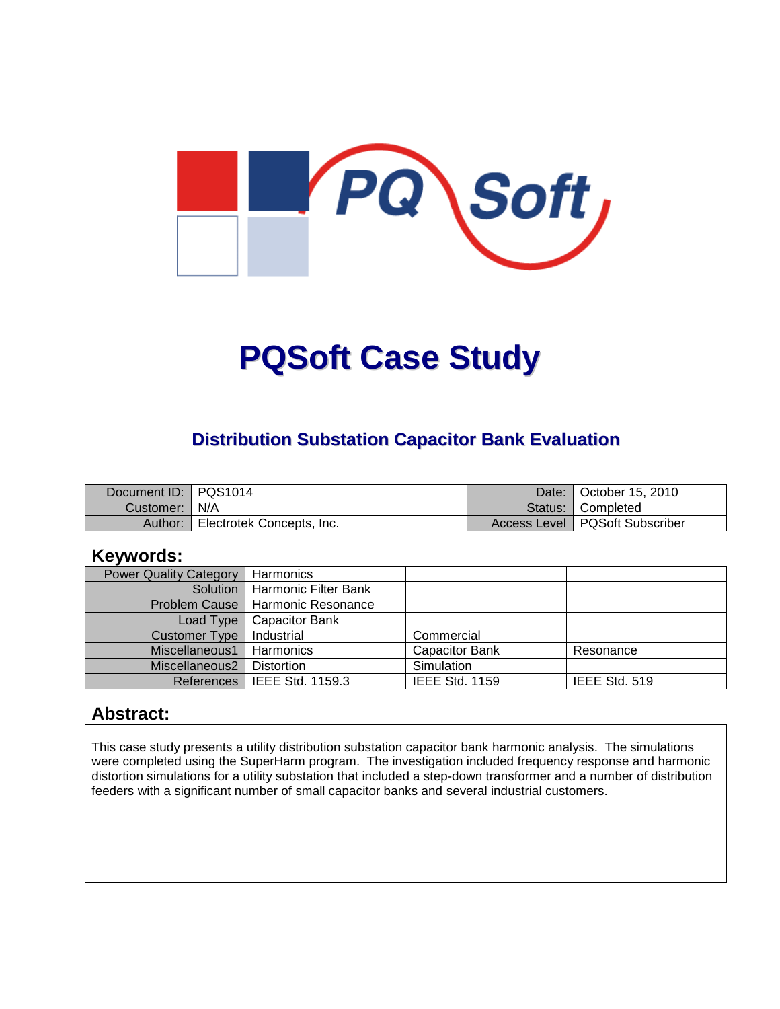

# **PQSoft Case Study**

#### **Distribution Substation Capacitor Bank Evaluation**

| Document ID: PQS1014 |                           | Date: | l October 15. 2010               |
|----------------------|---------------------------|-------|----------------------------------|
| Customer:   N/A      |                           |       | Status:   Completed              |
| Author:              | Electrotek Concepts, Inc. |       | Access Level   PQSoft Subscriber |

#### **Keywords:**

| <b>Power Quality Category</b> | Harmonics                     |                       |               |
|-------------------------------|-------------------------------|-----------------------|---------------|
| Solution                      | Harmonic Filter Bank          |                       |               |
| <b>Problem Cause</b>          | l Harmonic Resonance          |                       |               |
| Load Type                     | <b>Capacitor Bank</b>         |                       |               |
| Customer Type                 | Industrial                    | Commercial            |               |
| Miscellaneous1                | Harmonics                     | <b>Capacitor Bank</b> | Resonance     |
| Miscellaneous2                | <b>Distortion</b>             | Simulation            |               |
|                               | References   IEEE Std. 1159.3 | <b>IEEE Std. 1159</b> | IEEE Std. 519 |

#### **Abstract:**

This case study presents a utility distribution substation capacitor bank harmonic analysis. The simulations were completed using the SuperHarm program. The investigation included frequency response and harmonic distortion simulations for a utility substation that included a step-down transformer and a number of distribution feeders with a significant number of small capacitor banks and several industrial customers.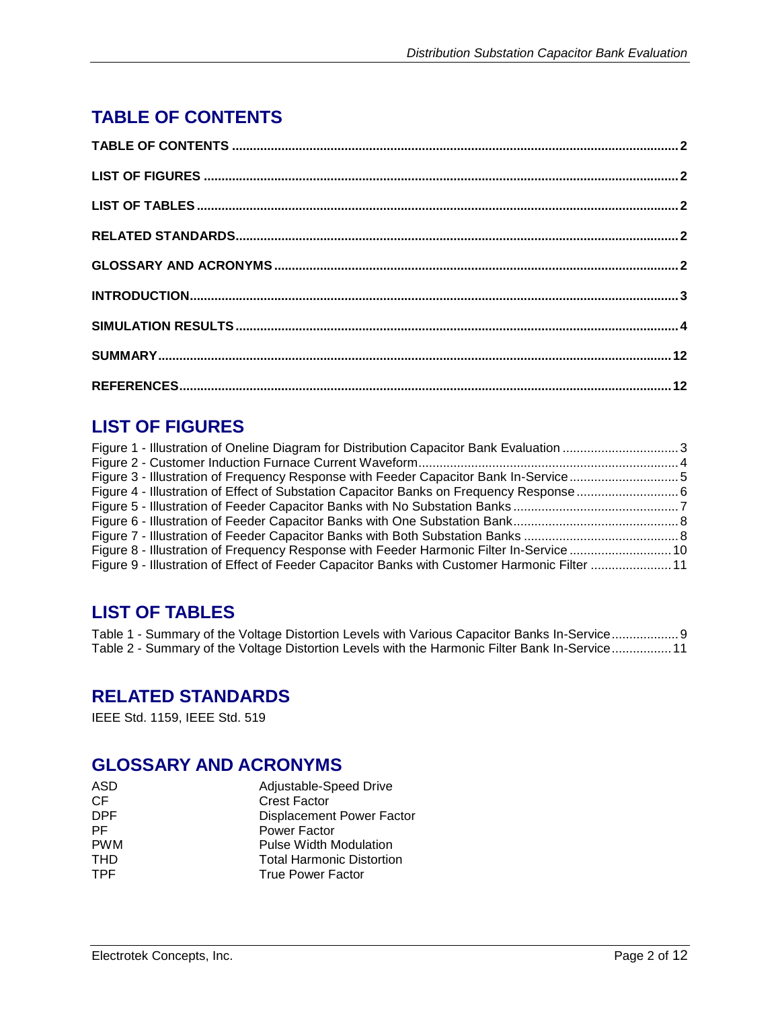## **TABLE OF CONTENTS**

## **LIST OF FIGURES**

| Figure 8 - Illustration of Frequency Response with Feeder Harmonic Filter In-Service  10     |  |
|----------------------------------------------------------------------------------------------|--|
| Figure 9 - Illustration of Effect of Feeder Capacitor Banks with Customer Harmonic Filter 11 |  |

## **LIST OF TABLES**

Table 1 - Summary of the Voltage Distortion Levels with Various Capacitor Banks In-Service...................9 Table 2 - Summary of the Voltage Distortion Levels with the Harmonic Filter Bank In-Service.................11

#### **RELATED STANDARDS**

IEEE Std. 1159, IEEE Std. 519

## **GLOSSARY AND ACRONYMS**

| ASD        | Adjustable-Speed Drive           |
|------------|----------------------------------|
| CF.        | <b>Crest Factor</b>              |
| <b>DPF</b> | <b>Displacement Power Factor</b> |
| PF.        | Power Factor                     |
| <b>PWM</b> | <b>Pulse Width Modulation</b>    |
| <b>THD</b> | <b>Total Harmonic Distortion</b> |
| <b>TPF</b> | <b>True Power Factor</b>         |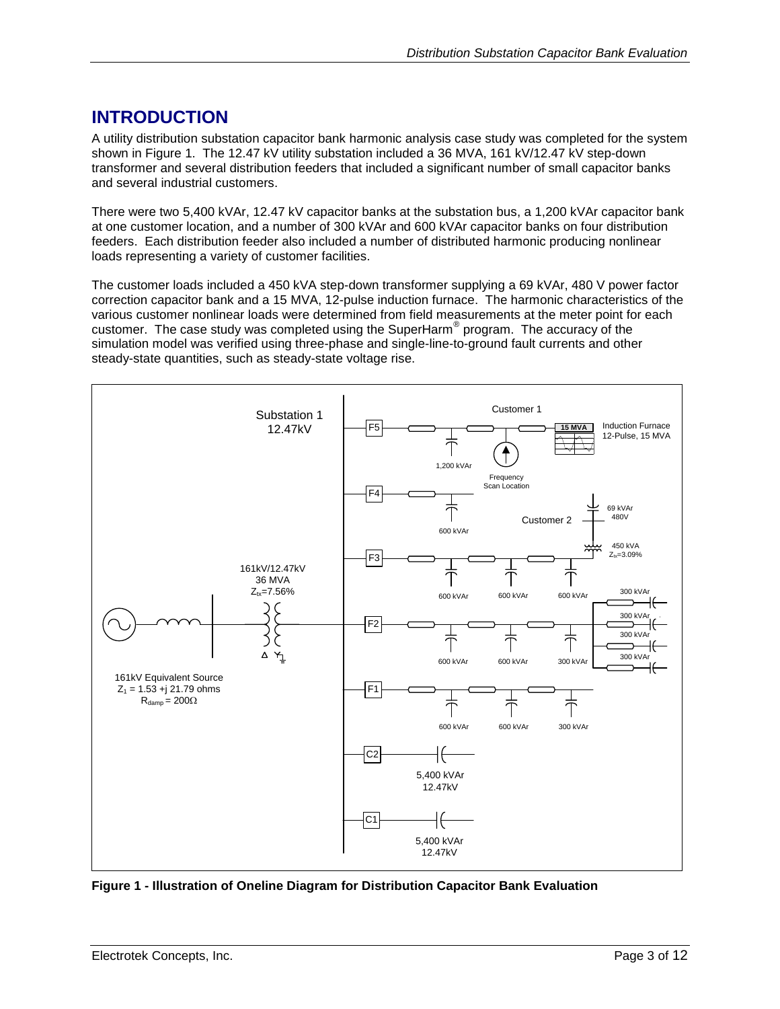## **INTRODUCTION**

A utility distribution substation capacitor bank harmonic analysis case study was completed for the system shown in [Figure 1.](#page-2-0) The 12.47 kV utility substation included a 36 MVA, 161 kV/12.47 kV step-down transformer and several distribution feeders that included a significant number of small capacitor banks and several industrial customers.

There were two 5,400 kVAr, 12.47 kV capacitor banks at the substation bus, a 1,200 kVAr capacitor bank at one customer location, and a number of 300 kVAr and 600 kVAr capacitor banks on four distribution feeders. Each distribution feeder also included a number of distributed harmonic producing nonlinear loads representing a variety of customer facilities.

The customer loads included a 450 kVA step-down transformer supplying a 69 kVAr, 480 V power factor correction capacitor bank and a 15 MVA, 12-pulse induction furnace. The harmonic characteristics of the various customer nonlinear loads were determined from field measurements at the meter point for each customer. The case study was completed using the SuperHarm® program. The accuracy of the simulation model was verified using three-phase and single-line-to-ground fault currents and other steady-state quantities, such as steady-state voltage rise.



<span id="page-2-0"></span>**Figure 1 - Illustration of Oneline Diagram for Distribution Capacitor Bank Evaluation**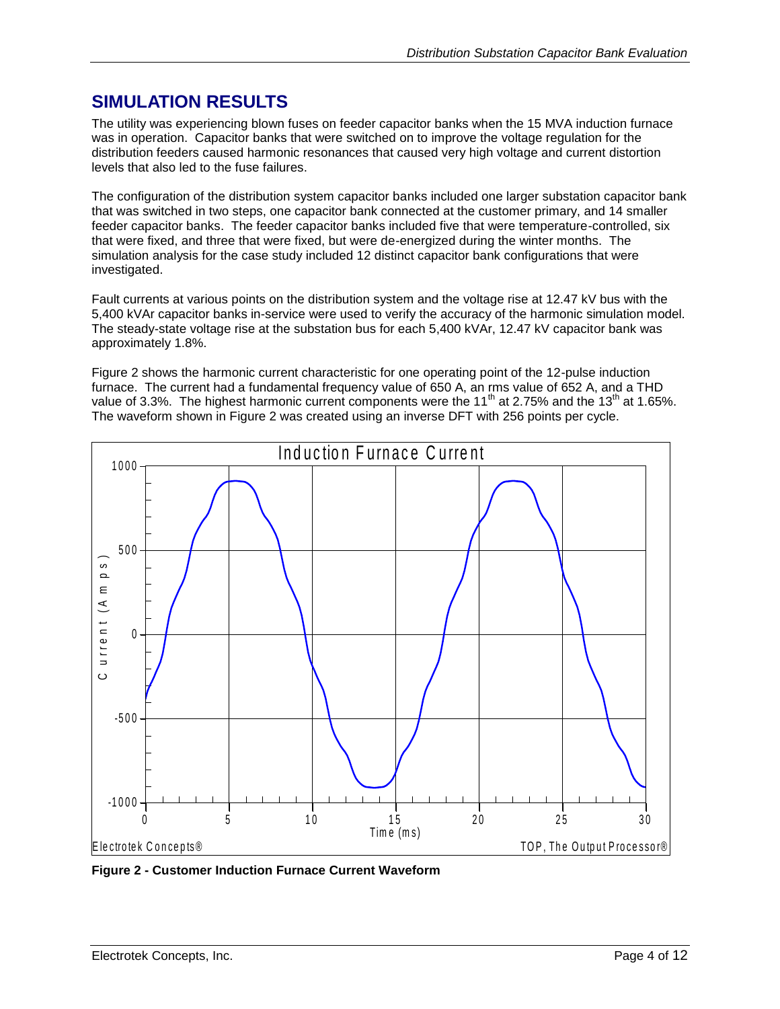## **SIMULATION RESULTS**

The utility was experiencing blown fuses on feeder capacitor banks when the 15 MVA induction furnace was in operation. Capacitor banks that were switched on to improve the voltage regulation for the distribution feeders caused harmonic resonances that caused very high voltage and current distortion levels that also led to the fuse failures.

The configuration of the distribution system capacitor banks included one larger substation capacitor bank that was switched in two steps, one capacitor bank connected at the customer primary, and 14 smaller feeder capacitor banks. The feeder capacitor banks included five that were temperature-controlled, six that were fixed, and three that were fixed, but were de-energized during the winter months. The simulation analysis for the case study included 12 distinct capacitor bank configurations that were investigated.

Fault currents at various points on the distribution system and the voltage rise at 12.47 kV bus with the 5,400 kVAr capacitor banks in-service were used to verify the accuracy of the harmonic simulation model. The steady-state voltage rise at the substation bus for each 5,400 kVAr, 12.47 kV capacitor bank was approximately 1.8%.

[Figure 2](#page-3-0) shows the harmonic current characteristic for one operating point of the 12-pulse induction furnace. The current had a fundamental frequency value of 650 A, an rms value of 652 A, and a THD value of 3.3%. The highest harmonic current components were the 11<sup>th</sup> at 2.75% and the 13<sup>th</sup> at 1.65%.



<span id="page-3-0"></span>**Figure 2 - Customer Induction Furnace Current Waveform**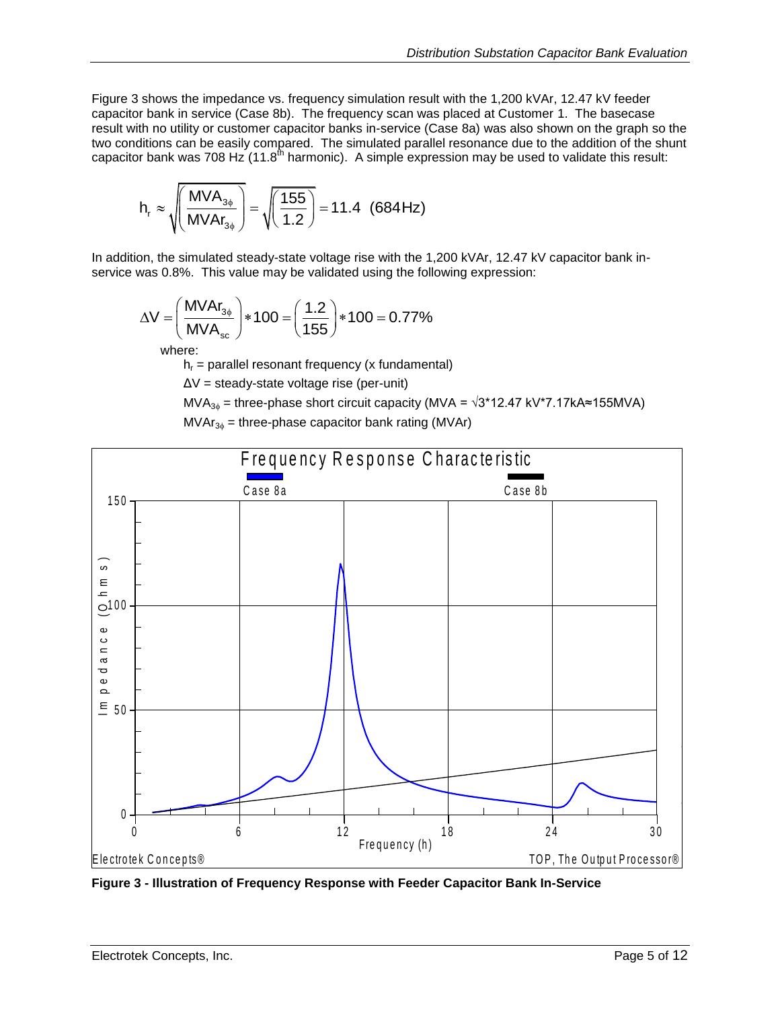[Figure 3](#page-4-0) shows the impedance vs. frequency simulation result with the 1,200 kVAr, 12.47 kV feeder capacitor bank in service (Case 8b). The frequency scan was placed at Customer 1. The basecase result with no utility or customer capacitor banks in-service (Case 8a) was also shown on the graph so the two conditions can be easily compared. The simulated parallel resonance due to the addition of the shunt capacitor bank was 708 Hz $(11.8<sup>th</sup>$  harmonic). A simple expression may be used to validate this result:

$$
h_r \approx \sqrt{\left(\frac{MVA_{3\phi}}{MVA_{3\phi}}\right)} = \sqrt{\left(\frac{155}{1.2}\right)} = 11.4 \text{ (684 Hz)}
$$

In addition, the simulated steady-state voltage rise with the 1,200 kVAr, 12.47 kV capacitor bank in-

service was 0.8%. This value may be validated using the following expression:  
\n
$$
\Delta V = \left(\frac{MVAr_{3\phi}}{MVA_{sc}}\right) * 100 = \left(\frac{1.2}{155}\right) * 100 = 0.77\%
$$

where:

 $h_r$  = parallel resonant frequency (x fundamental)

ΔV = steady-state voltage rise (per-unit)

MVA<sub>3<sup> $\phi$ </sub> = three-phase short circuit capacity (MVA =  $\sqrt{3}$ \*12.47 kV\*7.17kA≈155MVA)</sub></sup>  $MVAr_{36}$  = three-phase capacitor bank rating (MVAr)



<span id="page-4-0"></span>**Figure 3 - Illustration of Frequency Response with Feeder Capacitor Bank In-Service**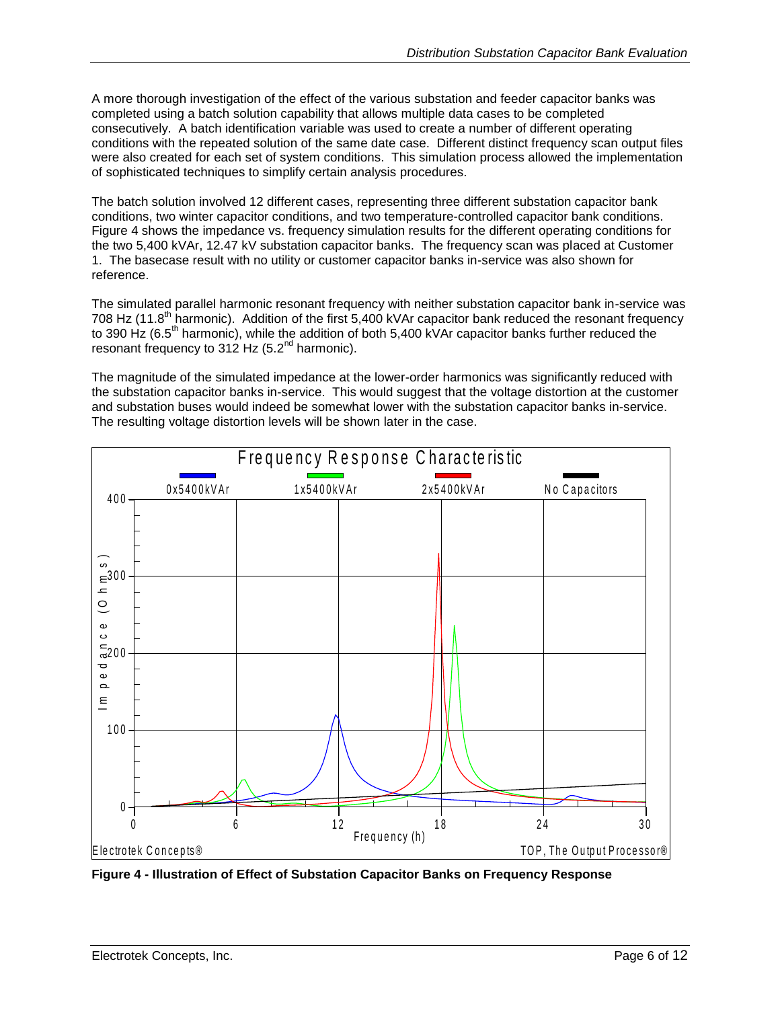A more thorough investigation of the effect of the various substation and feeder capacitor banks was completed using a batch solution capability that allows multiple data cases to be completed consecutively. A batch identification variable was used to create a number of different operating conditions with the repeated solution of the same date case. Different distinct frequency scan output files were also created for each set of system conditions. This simulation process allowed the implementation of sophisticated techniques to simplify certain analysis procedures.

The batch solution involved 12 different cases, representing three different substation capacitor bank conditions, two winter capacitor conditions, and two temperature-controlled capacitor bank conditions. [Figure 4](#page-5-0) shows the impedance vs. frequency simulation results for the different operating conditions for the two 5,400 kVAr, 12.47 kV substation capacitor banks. The frequency scan was placed at Customer 1. The basecase result with no utility or customer capacitor banks in-service was also shown for reference.

The simulated parallel harmonic resonant frequency with neither substation capacitor bank in-service was 708 Hz (11.8<sup>th</sup> harmonic). Addition of the first 5,400 kVAr capacitor bank reduced the resonant frequency to 390 Hz (6.5<sup>th</sup> harmonic), while the addition of both 5,400 kVAr capacitor banks further reduced the resonant frequency to 312 Hz  $(5.2<sup>nd</sup>$  harmonic).

The magnitude of the simulated impedance at the lower-order harmonics was significantly reduced with the substation capacitor banks in-service. This would suggest that the voltage distortion at the customer and substation buses would indeed be somewhat lower with the substation capacitor banks in-service. The resulting voltage distortion levels will be shown later in the case. F re quency R e s p onserved that the voltage and indeed be somewhat lower with the substation contion levels will be shown later in the case.



<span id="page-5-0"></span>**Figure 4 - Illustration of Effect of Substation Capacitor Banks on Frequency Response**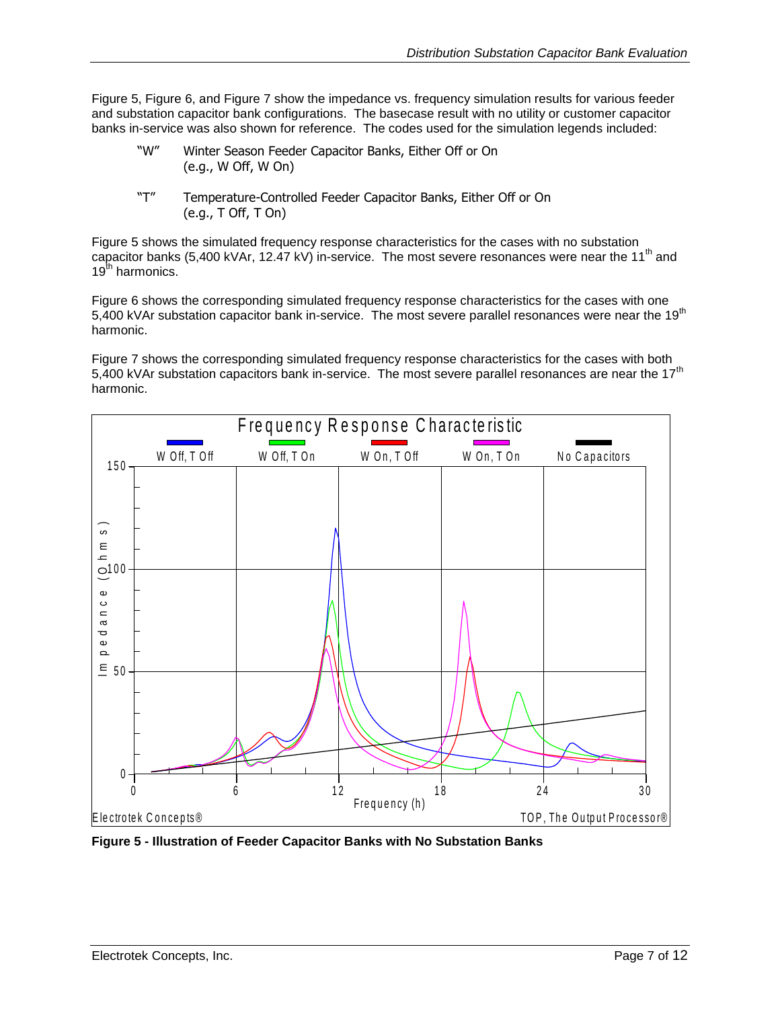[Figure 5,](#page-6-0) [Figure 6,](#page-7-0) and [Figure 7](#page-7-1) show the impedance vs. frequency simulation results for various feeder and substation capacitor bank configurations. The basecase result with no utility or customer capacitor banks in-service was also shown for reference. The codes used for the simulation legends included:

- "W" Winter Season Feeder Capacitor Banks, Either Off or On (e.g., W Off, W On)
- "T" Temperature-Controlled Feeder Capacitor Banks, Either Off or On (e.g., T Off, T On)

[Figure 5](#page-6-0) shows the simulated frequency response characteristics for the cases with no substation capacitor banks (5,400 kVAr, 12.47 kV) in-service. The most severe resonances were near the 11<sup>th</sup> and 19<sup>th</sup> harmonics.

[Figure 6](#page-7-0) shows the corresponding simulated frequency response characteristics for the cases with one 5,400 kVAr substation capacitor bank in-service. The most severe parallel resonances were near the 19<sup>th</sup> harmonic.

[Figure 7](#page-7-1) shows the corresponding simulated frequency response characteristics for the cases with both 5,400 kVAr substation capacitors bank in-service. The most severe parallel resonances are near the 17<sup>th</sup> harmonic.



<span id="page-6-0"></span>**Figure 5 - Illustration of Feeder Capacitor Banks with No Substation Banks**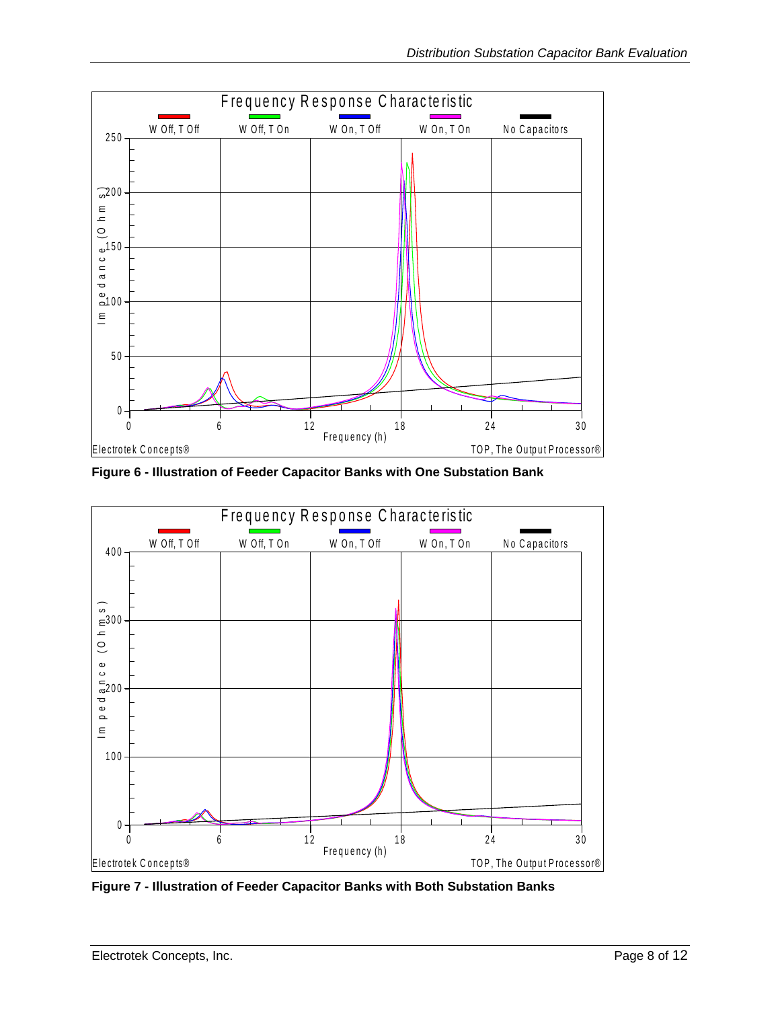

<span id="page-7-0"></span>**Figure 6 - Illustration of Feeder Capacitor Banks with One Substation Bank**



<span id="page-7-1"></span>**Figure 7 - Illustration of Feeder Capacitor Banks with Both Substation Banks**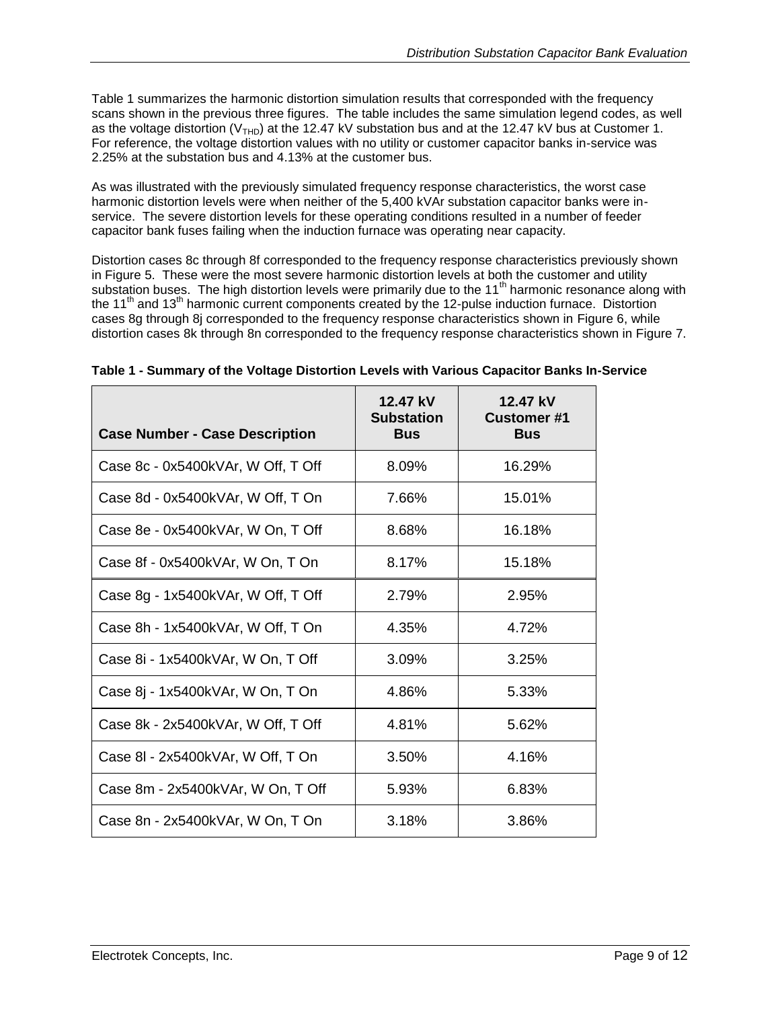[Table 1](#page-8-0) summarizes the harmonic distortion simulation results that corresponded with the frequency scans shown in the previous three figures. The table includes the same simulation legend codes, as well as the voltage distortion ( $V<sub>THD</sub>$ ) at the 12.47 kV substation bus and at the 12.47 kV bus at Customer 1. For reference, the voltage distortion values with no utility or customer capacitor banks in-service was 2.25% at the substation bus and 4.13% at the customer bus.

As was illustrated with the previously simulated frequency response characteristics, the worst case harmonic distortion levels were when neither of the 5,400 kVAr substation capacitor banks were inservice. The severe distortion levels for these operating conditions resulted in a number of feeder capacitor bank fuses failing when the induction furnace was operating near capacity.

Distortion cases 8c through 8f corresponded to the frequency response characteristics previously shown in [Figure 5.](#page-6-0) These were the most severe harmonic distortion levels at both the customer and utility substation buses. The high distortion levels were primarily due to the 11<sup>th</sup> harmonic resonance along with the 11<sup>th</sup> and 13<sup>th</sup> harmonic current components created by the 12-pulse induction furnace. Distortion cases 8g through 8j corresponded to the frequency response characteristics shown in [Figure 6,](#page-7-0) while distortion cases 8k through 8n corresponded to the frequency response characteristics shown in [Figure 7.](#page-7-1)

| <b>Case Number - Case Description</b> | 12.47 kV<br><b>Substation</b><br><b>Bus</b> | 12.47 kV<br><b>Customer#1</b><br><b>Bus</b> |
|---------------------------------------|---------------------------------------------|---------------------------------------------|
| Case 8c - 0x5400kVAr, W Off, T Off    | 8.09%                                       | 16.29%                                      |
| Case 8d - 0x5400kVAr, W Off, T On     | 7.66%                                       | 15.01%                                      |
| Case 8e - 0x5400kVAr, W On, T Off     | 8.68%                                       | 16.18%                                      |
| Case 8f - 0x5400kVAr, W On, T On      | 8.17%                                       | 15.18%                                      |
| Case 8g - 1x5400kVAr, W Off, T Off    | 2.79%                                       | 2.95%                                       |
| Case 8h - 1x5400kVAr, W Off, T On     | 4.35%                                       | 4.72%                                       |
| Case 8i - 1x5400kVAr, W On, T Off     | $3.09\%$                                    | 3.25%                                       |
| Case 8j - 1x5400kVAr, W On, T On      | 4.86%                                       | 5.33%                                       |
| Case 8k - 2x5400kVAr, W Off, T Off    | 4.81%                                       | 5.62%                                       |
| Case 8I - 2x5400kVAr, W Off, T On     | 3.50%                                       | 4.16%                                       |
| Case 8m - 2x5400kVAr, W On, T Off     | 5.93%                                       | 6.83%                                       |
| Case 8n - 2x5400kVAr, W On, T On      | 3.18%                                       | 3.86%                                       |

<span id="page-8-0"></span>

| Table 1 - Summary of the Voltage Distortion Levels with Various Capacitor Banks In-Service |  |  |  |
|--------------------------------------------------------------------------------------------|--|--|--|
|                                                                                            |  |  |  |
|                                                                                            |  |  |  |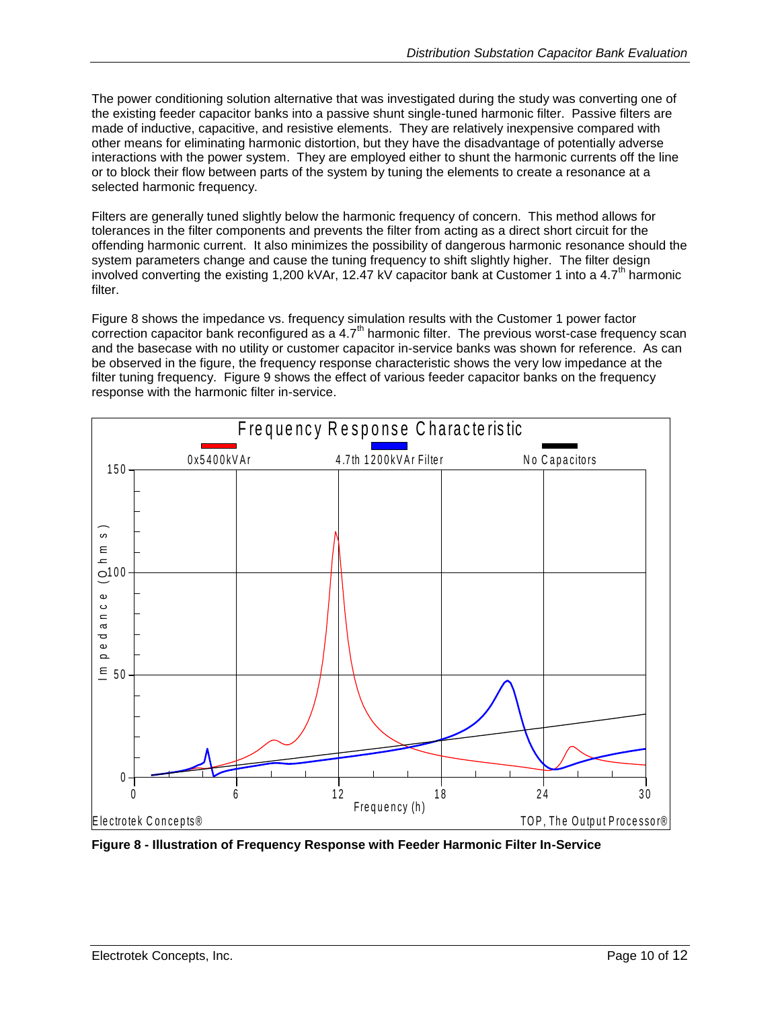The power conditioning solution alternative that was investigated during the study was converting one of the existing feeder capacitor banks into a passive shunt single-tuned harmonic filter. Passive filters are made of inductive, capacitive, and resistive elements. They are relatively inexpensive compared with other means for eliminating harmonic distortion, but they have the disadvantage of potentially adverse interactions with the power system. They are employed either to shunt the harmonic currents off the line or to block their flow between parts of the system by tuning the elements to create a resonance at a selected harmonic frequency.

Filters are generally tuned slightly below the harmonic frequency of concern. This method allows for tolerances in the filter components and prevents the filter from acting as a direct short circuit for the offending harmonic current. It also minimizes the possibility of dangerous harmonic resonance should the system parameters change and cause the tuning frequency to shift slightly higher. The filter design involved converting the existing 1,200 kVAr, 12.47 kV capacitor bank at Customer 1 into a 4.7<sup>th</sup> harmonic filter.

[Figure 8](#page-9-0) shows the impedance vs. frequency simulation results with the Customer 1 power factor correction capacitor bank reconfigured as a 4.7<sup>th</sup> harmonic filter. The previous worst-case frequency scan and the basecase with no utility or customer capacitor in-service banks was shown for reference. As can be observed in the figure, the frequency response characteristic shows the very low impedance at the filter tuning frequency. [Figure 9](#page-10-0) shows the effect of various feeder capacitor banks on the frequency response with the harmonic filter in-service. utility or customer capacitor in-service banks was s<br>the frequency response characteristic shows the versure 9 shows the effect of various feeder capacitor<br>ic filter in-service.<br>Frequency Response Characteristic



<span id="page-9-0"></span>**Figure 8 - Illustration of Frequency Response with Feeder Harmonic Filter In-Service**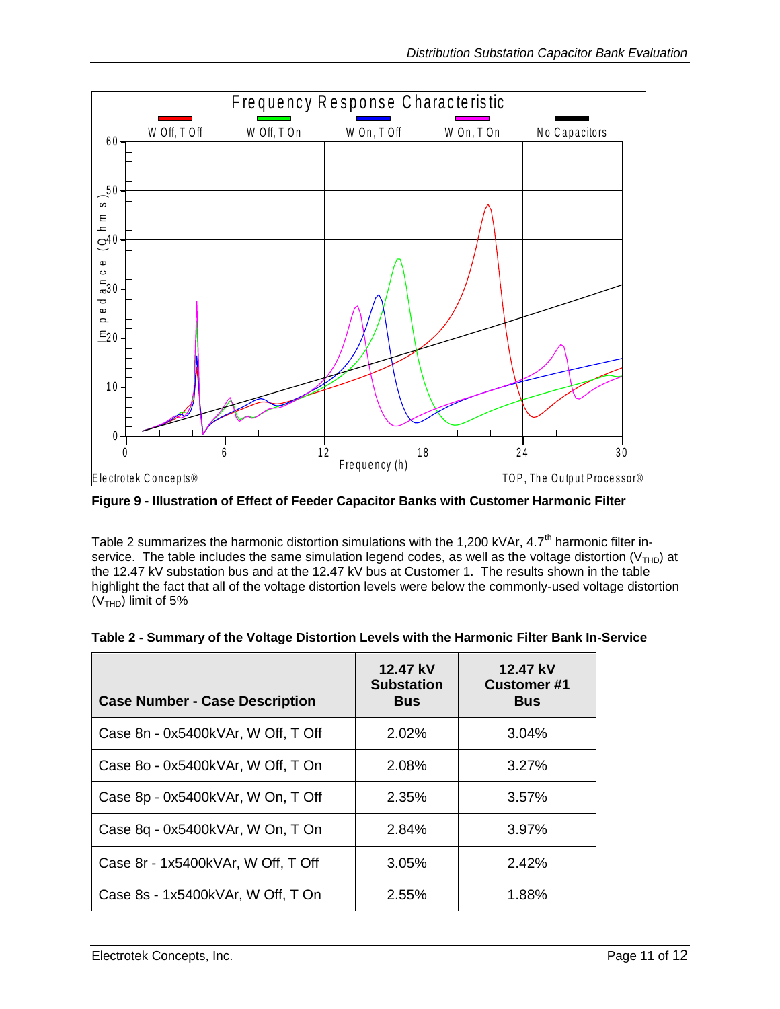

<span id="page-10-0"></span>**Figure 9 - Illustration of Effect of Feeder Capacitor Banks with Customer Harmonic Filter**

[Table 2](#page-10-1) summarizes the harmonic distortion simulations with the 1,200 kVAr,  $4.7<sup>th</sup>$  harmonic filter inservice. The table includes the same simulation legend codes, as well as the voltage distortion ( $V<sub>THD</sub>$ ) at the 12.47 kV substation bus and at the 12.47 kV bus at Customer 1. The results shown in the table highlight the fact that all of the voltage distortion levels were below the commonly-used voltage distortion  $(V<sub>THD</sub>)$  limit of 5%

| <b>Case Number - Case Description</b> | 12.47 kV<br><b>Substation</b><br><b>Bus</b> | 12.47 kV<br><b>Customer#1</b><br><b>Bus</b> |
|---------------------------------------|---------------------------------------------|---------------------------------------------|
| Case 8n - 0x5400kVAr, W Off, T Off    | 2.02%                                       | 3.04%                                       |
| Case 8o - 0x5400kVAr, W Off, T On     | 2.08%                                       | 3.27%                                       |
| Case 8p - 0x5400kVAr, W On, T Off     | 2.35%                                       | 3.57%                                       |
| Case 8q - 0x5400kVAr, W On, T On      | 2.84%                                       | 3.97%                                       |
| Case 8r - 1x5400kVAr, W Off, T Off    | 3.05%                                       | 2.42%                                       |
| Case 8s - 1x5400kVAr, W Off, T On     | 2.55%                                       | 1.88%                                       |

<span id="page-10-1"></span>

| Table 2 - Summary of the Voltage Distortion Levels with the Harmonic Filter Bank In-Service |  |  |  |
|---------------------------------------------------------------------------------------------|--|--|--|
|                                                                                             |  |  |  |